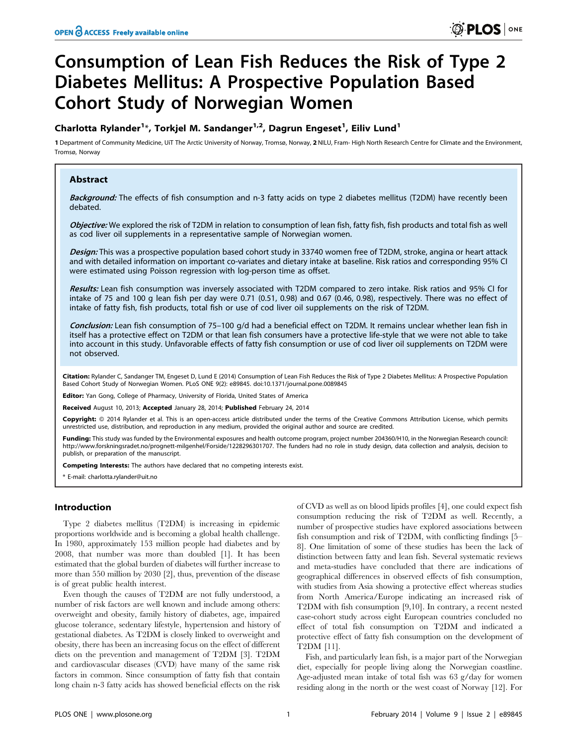# Consumption of Lean Fish Reduces the Risk of Type 2 Diabetes Mellitus: A Prospective Population Based Cohort Study of Norwegian Women

## Charlotta Rylander<sup>1</sup>\*, Torkjel M. Sandanger<sup>1,2</sup>, Dagrun Engeset<sup>1</sup>, Eiliv Lund<sup>1</sup>

1 Department of Community Medicine, UiT The Arctic University of Norway, Tromsø, Norway, 2 NILU, Fram- High North Research Centre for Climate and the Environment, Tromsø, Norway

## Abstract

Background: The effects of fish consumption and n-3 fatty acids on type 2 diabetes mellitus (T2DM) have recently been debated.

Objective: We explored the risk of T2DM in relation to consumption of lean fish, fatty fish, fish products and total fish as well as cod liver oil supplements in a representative sample of Norwegian women.

Design: This was a prospective population based cohort study in 33740 women free of T2DM, stroke, angina or heart attack and with detailed information on important co-variates and dietary intake at baseline. Risk ratios and corresponding 95% CI were estimated using Poisson regression with log-person time as offset.

Results: Lean fish consumption was inversely associated with T2DM compared to zero intake. Risk ratios and 95% CI for intake of 75 and 100 g lean fish per day were 0.71 (0.51, 0.98) and 0.67 (0.46, 0.98), respectively. There was no effect of intake of fatty fish, fish products, total fish or use of cod liver oil supplements on the risk of T2DM.

Conclusion: Lean fish consumption of 75–100 g/d had a beneficial effect on T2DM. It remains unclear whether lean fish in itself has a protective effect on T2DM or that lean fish consumers have a protective life-style that we were not able to take into account in this study. Unfavorable effects of fatty fish consumption or use of cod liver oil supplements on T2DM were not observed.

Citation: Rylander C, Sandanger TM, Engeset D, Lund E (2014) Consumption of Lean Fish Reduces the Risk of Type 2 Diabetes Mellitus: A Prospective Population Based Cohort Study of Norwegian Women. PLoS ONE 9(2): e89845. doi:10.1371/journal.pone.0089845

Editor: Yan Gong, College of Pharmacy, University of Florida, United States of America

Received August 10, 2013; Accepted January 28, 2014; Published February 24, 2014

Copyright: © 2014 Rylander et al. This is an open-access article distributed under the terms of the [Creative Commons Attribution License,](http://creativecommons.org/licenses/by/4.0/) which permits unrestricted use, distribution, and reproduction in any medium, provided the original author and source are credited.

Funding: This study was funded by the Environmental exposures and health outcome program, project number 204360/H10, in the Norwegian Research council: http://www.forskningsradet.no/prognett-milgenhel/Forside/1228296301707. The funders had no role in study design, data collection and analysis, decision to publish, or preparation of the manuscript.

Competing Interests: The authors have declared that no competing interests exist.

E-mail: charlotta.rylander@uit.no

## Introduction

Type 2 diabetes mellitus (T2DM) is increasing in epidemic proportions worldwide and is becoming a global health challenge. In 1980, approximately 153 million people had diabetes and by 2008, that number was more than doubled [1]. It has been estimated that the global burden of diabetes will further increase to more than 550 million by 2030 [2], thus, prevention of the disease is of great public health interest.

Even though the causes of T2DM are not fully understood, a number of risk factors are well known and include among others: overweight and obesity, family history of diabetes, age, impaired glucose tolerance, sedentary lifestyle, hypertension and history of gestational diabetes. As T2DM is closely linked to overweight and obesity, there has been an increasing focus on the effect of different diets on the prevention and management of T2DM [3]. T2DM and cardiovascular diseases (CVD) have many of the same risk factors in common. Since consumption of fatty fish that contain long chain n-3 fatty acids has showed beneficial effects on the risk

of CVD as well as on blood lipids profiles [4], one could expect fish consumption reducing the risk of T2DM as well. Recently, a number of prospective studies have explored associations between fish consumption and risk of T2DM, with conflicting findings [5– 8]. One limitation of some of these studies has been the lack of distinction between fatty and lean fish. Several systematic reviews and meta-studies have concluded that there are indications of geographical differences in observed effects of fish consumption, with studies from Asia showing a protective effect whereas studies from North America/Europe indicating an increased risk of T2DM with fish consumption [9,10]. In contrary, a recent nested case-cohort study across eight European countries concluded no effect of total fish consumption on T2DM and indicated a protective effect of fatty fish consumption on the development of T2DM [11].

Fish, and particularly lean fish, is a major part of the Norwegian diet, especially for people living along the Norwegian coastline. Age-adjusted mean intake of total fish was 63 g/day for women residing along in the north or the west coast of Norway [12]. For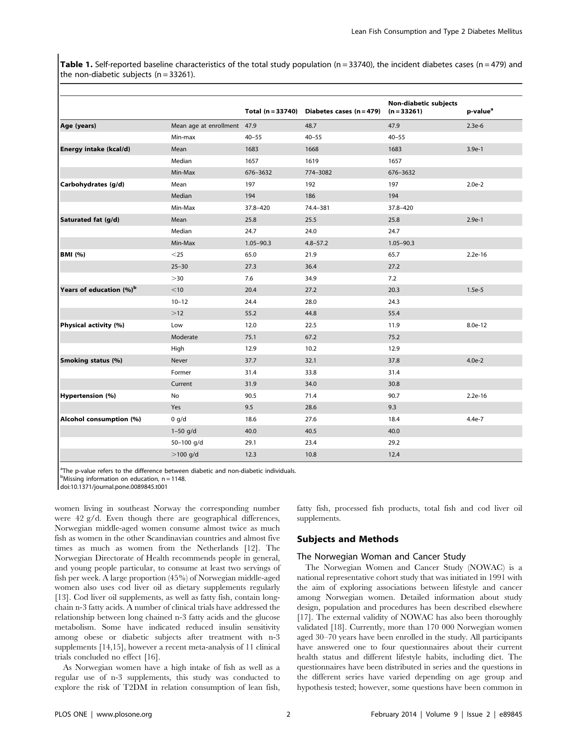Table 1. Self-reported baseline characteristics of the total study population ( $n = 33740$ ), the incident diabetes cases ( $n = 479$ ) and the non-diabetic subjects  $(n = 33261)$ .

|                                     |                             | Total (n = 33740) | Diabetes cases $(n = 479)$ | Non-diabetic subjects<br>$(n = 33261)$ | p-value <sup>a</sup> |
|-------------------------------------|-----------------------------|-------------------|----------------------------|----------------------------------------|----------------------|
| Age (years)                         | Mean age at enrollment 47.9 |                   | 48.7                       | 47.9                                   | $2.3e-6$             |
|                                     | Min-max                     | $40 - 55$         | $40 - 55$                  | $40 - 55$                              |                      |
| Energy intake (kcal/d)              | Mean                        | 1683              | 1668                       | 1683                                   | $3.9e-1$             |
|                                     | Median                      | 1657              | 1619                       | 1657                                   |                      |
|                                     | Min-Max                     | 676-3632          | 774-3082                   | 676-3632                               |                      |
| Carbohydrates (g/d)                 | Mean                        | 197               | 192                        | 197                                    | $2.0e-2$             |
|                                     | Median                      | 194               | 186                        | 194                                    |                      |
|                                     | Min-Max                     | 37.8-420          | 74.4-381                   | 37.8-420                               |                      |
| Saturated fat (g/d)                 | Mean                        | 25.8              | 25.5                       | 25.8                                   | $2.9e-1$             |
|                                     | Median                      | 24.7              | 24.0                       | 24.7                                   |                      |
|                                     | Min-Max                     | $1.05 - 90.3$     | $4.8 - 57.2$               | $1.05 - 90.3$                          |                      |
| <b>BMI</b> (%)                      | $<$ 25                      | 65.0              | 21.9                       | 65.7                                   | $2.2e-16$            |
|                                     | $25 - 30$                   | 27.3              | 36.4                       | 27.2                                   |                      |
|                                     | >30                         | 7.6               | 34.9                       | 7.2                                    |                      |
| Years of education (%) <sup>b</sup> | $<$ 10                      | 20.4              | 27.2                       | 20.3                                   | $1.5e-5$             |
|                                     | $10 - 12$                   | 24.4              | 28.0                       | 24.3                                   |                      |
|                                     | $>12$                       | 55.2              | 44.8                       | 55.4                                   |                      |
| Physical activity (%)               | Low                         | 12.0              | 22.5                       | 11.9                                   | 8.0e-12              |
|                                     | Moderate                    | 75.1              | 67.2                       | 75.2                                   |                      |
|                                     | High                        | 12.9              | 10.2                       | 12.9                                   |                      |
| <b>Smoking status (%)</b>           | Never                       | 37.7              | 32.1                       | 37.8                                   | $4.0e-2$             |
|                                     | Former                      | 31.4              | 33.8                       | 31.4                                   |                      |
|                                     | Current                     | 31.9              | 34.0                       | 30.8                                   |                      |
| Hypertension (%)                    | No                          | 90.5              | 71.4                       | 90.7                                   | $2.2e-16$            |
|                                     | Yes                         | 9.5               | 28.6                       | 9.3                                    |                      |
| Alcohol consumption (%)             | 0 g/d                       | 18.6              | 27.6                       | 18.4                                   | 4.4e-7               |
|                                     | $1 - 50$ g/d                | 40.0              | 40.5                       | 40.0                                   |                      |
|                                     | 50-100 g/d                  | 29.1              | 23.4                       | 29.2                                   |                      |
|                                     | $>100$ g/d                  | 12.3              | 10.8                       | 12.4                                   |                      |

<sup>a</sup>The p-value refers to the difference between diabetic and non-diabetic individuals.

 $<sup>b</sup>$ Missing information on education, n = 1148.</sup>

doi:10.1371/journal.pone.0089845.t001

women living in southeast Norway the corresponding number were 42 g/d. Even though there are geographical differences, Norwegian middle-aged women consume almost twice as much fish as women in the other Scandinavian countries and almost five times as much as women from the Netherlands [12]. The Norwegian Directorate of Health recommends people in general, and young people particular, to consume at least two servings of fish per week. A large proportion (45%) of Norwegian middle-aged women also uses cod liver oil as dietary supplements regularly [13]. Cod liver oil supplements, as well as fatty fish, contain longchain n-3 fatty acids. A number of clinical trials have addressed the relationship between long chained n-3 fatty acids and the glucose metabolism. Some have indicated reduced insulin sensitivity among obese or diabetic subjects after treatment with n-3 supplements [14,15], however a recent meta-analysis of 11 clinical trials concluded no effect [16].

As Norwegian women have a high intake of fish as well as a regular use of n-3 supplements, this study was conducted to explore the risk of T2DM in relation consumption of lean fish, fatty fish, processed fish products, total fish and cod liver oil supplements.

## Subjects and Methods

## The Norwegian Woman and Cancer Study

The Norwegian Women and Cancer Study (NOWAC) is a national representative cohort study that was initiated in 1991 with the aim of exploring associations between lifestyle and cancer among Norwegian women. Detailed information about study design, population and procedures has been described elsewhere [17]. The external validity of NOWAC has also been thoroughly validated [18]. Currently, more than 170 000 Norwegian women aged 30–70 years have been enrolled in the study. All participants have answered one to four questionnaires about their current health status and different lifestyle habits, including diet. The questionnaires have been distributed in series and the questions in the different series have varied depending on age group and hypothesis tested; however, some questions have been common in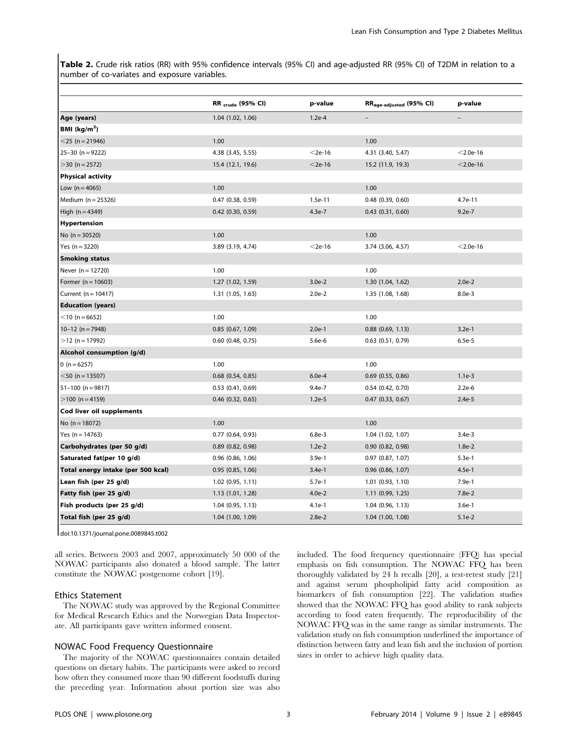Table 2. Crude risk ratios (RR) with 95% confidence intervals (95% CI) and age-adjusted RR (95% CI) of T2DM in relation to a number of co-variates and exposure variables.

|                                    | <b>RR</b> <sub>crude</sub> (95% CI) | p-value   | RR <sub>age-adjusted</sub> (95% CI) | p-value     |
|------------------------------------|-------------------------------------|-----------|-------------------------------------|-------------|
| Age (years)                        | 1.04 (1.02, 1.06)                   | $1.2e-4$  |                                     |             |
| BMI ( $kg/m2$ )                    |                                     |           |                                     |             |
| $<$ 25 (n = 21946)                 | 1.00                                |           | 1.00                                |             |
| $25-30$ (n = 9222)                 | 4.38 (3.45, 5.55)                   | $<$ 2e-16 | 4.31 (3.40, 5.47)                   | $<$ 2.0e-16 |
| $>$ 30 (n = 2572)                  | 15.4 (12.1, 19.6)                   | $<$ 2e-16 | 15.2 (11.9, 19.3)                   | $<$ 2.0e-16 |
| <b>Physical activity</b>           |                                     |           |                                     |             |
| Low $(n = 4065)$                   | 1.00                                |           | 1.00                                |             |
| Medium $(n = 25326)$               | $0.47$ $(0.38, 0.59)$               | 1.5e-11   | $0.48$ $(0.39, 0.60)$               | 4.7e-11     |
| High $(n = 4349)$                  | $0.42$ (0.30, 0.59)                 | $4.3e-7$  | $0.43$ $(0.31, 0.60)$               | $9.2e-7$    |
| <b>Hypertension</b>                |                                     |           |                                     |             |
| No $(n = 30520)$                   | 1.00                                |           | 1.00                                |             |
| Yes $(n = 3220)$                   | 3.89 (3.19, 4.74)                   | $<$ 2e-16 | 3.74 (3.06, 4.57)                   | $<$ 2.0e-16 |
| <b>Smoking status</b>              |                                     |           |                                     |             |
| Never $(n = 12720)$                | 1.00                                |           | 1.00                                |             |
| Former ( $n = 10603$ )             | 1.27 (1.02, 1.59)                   | $3.0e-2$  | 1.30 (1.04, 1.62)                   | $2.0e-2$    |
| Current ( $n = 10417$ )            | 1.31(1.05, 1.63)                    | $2.0e-2$  | 1.35 (1.08, 1.68)                   | $8.0e-3$    |
| <b>Education (years)</b>           |                                     |           |                                     |             |
| $<$ 10 (n = 6652)                  | 1.00                                |           | 1.00                                |             |
| $10-12$ (n = 7948)                 | $0.85$ $(0.67, 1.09)$               | $2.0e-1$  | $0.88$ $(0.69, 1.13)$               | $3.2e-1$    |
| $>12$ (n = 17992)                  | $0.60$ $(0.48, 0.75)$               | $5.6e-6$  | $0.63$ $(0.51, 0.79)$               | $6.5e-5$    |
| Alcohol consumption (g/d)          |                                     |           |                                     |             |
| 0 ( $n = 6257$ )                   | 1.00                                |           | 1.00                                |             |
| $<$ 50 (n = 13507)                 | $0.68$ $(0.54, 0.85)$               | $6.0e-4$  | $0.69$ $(0.55, 0.86)$               | $1.1e-3$    |
| $51-100$ (n = 9817)                | $0.53$ $(0.41, 0.69)$               | $9.4e-7$  | $0.54$ (0.42, 0.70)                 | $2.2e-6$    |
| $>100$ (n = 4159)                  | $0.46$ (0.32, 0.65)                 | $1.2e-5$  | $0.47$ $(0.33, 0.67)$               | $2.4e-5$    |
| Cod liver oil supplements          |                                     |           |                                     |             |
| No $(n = 18072)$                   | 1.00                                |           | 1.00                                |             |
| Yes $(n = 14763)$                  | $0.77$ $(0.64, 0.93)$               | $6.8e-3$  | 1.04 (1.02, 1.07)                   | $3.4e-3$    |
| Carbohydrates (per 50 g/d)         | $0.89$ $(0.82, 0.98)$               | $1.2e-2$  | $0.90$ $(0.82, 0.98)$               | $1.8e-2$    |
| Saturated fat(per 10 g/d)          | $0.96$ $(0.86, 1.06)$               | $3.9e-1$  | $0.97$ $(0.87, 1.07)$               | $5.3e-1$    |
| Total energy intake (per 500 kcal) | $0.95$ $(0.85, 1.06)$               | $3.4e-1$  | $0.96$ $(0.86, 1.07)$               | $4.5e-1$    |
| Lean fish (per 25 g/d)             | 1.02 (0.95, 1.11)                   | $5.7e-1$  | 1.01 (0.93, 1.10)                   | 7.9e-1      |
| Fatty fish (per 25 g/d)            | 1.13(1.01, 1.28)                    | $4.0e-2$  | $1.11$ (0.99, 1.25)                 | 7.8e-2      |
| Fish products (per 25 g/d)         | $1.04$ (0.95, 1.13)                 | 4.1e-1    | $1.04$ (0.96, 1.13)                 | $3.6e-1$    |
| Total fish (per 25 g/d)            | 1.04 (1.00, 1.09)                   | $2.8e-2$  | $1.04$ $(1.00, 1.08)$               | $5.1e-2$    |

doi:10.1371/journal.pone.0089845.t002

all series. Between 2003 and 2007, approximately 50 000 of the NOWAC participants also donated a blood sample. The latter constitute the NOWAC postgenome cohort [19].

## Ethics Statement

The NOWAC study was approved by the Regional Committee for Medical Research Ethics and the Norwegian Data Inspectorate. All participants gave written informed consent.

## NOWAC Food Frequency Questionnaire

The majority of the NOWAC questionnaires contain detailed questions on dietary habits. The participants were asked to record how often they consumed more than 90 different foodstuffs during the preceding year. Information about portion size was also included. The food frequency questionnaire (FFQ) has special emphasis on fish consumption. The NOWAC FFQ has been thoroughly validated by 24 h recalls [20], a test-retest study [21] and against serum phospholipid fatty acid composition as biomarkers of fish consumption [22]. The validation studies showed that the NOWAC FFQ has good ability to rank subjects according to food eaten frequently. The reproducibility of the NOWAC FFQ was in the same range as similar instruments. The validation study on fish consumption underlined the importance of distinction between fatty and lean fish and the inclusion of portion sizes in order to achieve high quality data.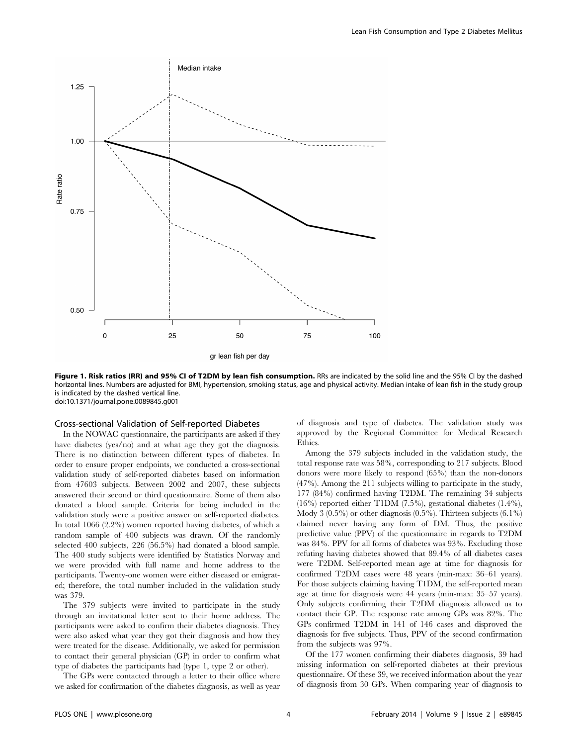

Figure 1. Risk ratios (RR) and 95% CI of T2DM by lean fish consumption. RRs are indicated by the solid line and the 95% CI by the dashed horizontal lines. Numbers are adjusted for BMI, hypertension, smoking status, age and physical activity. Median intake of lean fish in the study group is indicated by the dashed vertical line. doi:10.1371/journal.pone.0089845.g001

#### Cross-sectional Validation of Self-reported Diabetes

In the NOWAC questionnaire, the participants are asked if they have diabetes (yes/no) and at what age they got the diagnosis. There is no distinction between different types of diabetes. In order to ensure proper endpoints, we conducted a cross-sectional validation study of self-reported diabetes based on information from 47603 subjects. Between 2002 and 2007, these subjects answered their second or third questionnaire. Some of them also donated a blood sample. Criteria for being included in the validation study were a positive answer on self-reported diabetes. In total 1066 (2.2%) women reported having diabetes, of which a random sample of 400 subjects was drawn. Of the randomly selected 400 subjects, 226 (56.5%) had donated a blood sample. The 400 study subjects were identified by Statistics Norway and we were provided with full name and home address to the participants. Twenty-one women were either diseased or emigrated; therefore, the total number included in the validation study was 379.

The 379 subjects were invited to participate in the study through an invitational letter sent to their home address. The participants were asked to confirm their diabetes diagnosis. They were also asked what year they got their diagnosis and how they were treated for the disease. Additionally, we asked for permission to contact their general physician (GP) in order to confirm what type of diabetes the participants had (type 1, type 2 or other).

The GPs were contacted through a letter to their office where we asked for confirmation of the diabetes diagnosis, as well as year of diagnosis and type of diabetes. The validation study was approved by the Regional Committee for Medical Research Ethics.

Among the 379 subjects included in the validation study, the total response rate was 58%, corresponding to 217 subjects. Blood donors were more likely to respond (65%) than the non-donors (47%). Among the 211 subjects willing to participate in the study, 177 (84%) confirmed having T2DM. The remaining 34 subjects (16%) reported either T1DM (7.5%), gestational diabetes (1.4%), Mody 3  $(0.5\%)$  or other diagnosis  $(0.5\%)$ . Thirteen subjects  $(6.1\%)$ claimed never having any form of DM. Thus, the positive predictive value (PPV) of the questionnaire in regards to T2DM was 84%. PPV for all forms of diabetes was 93%. Excluding those refuting having diabetes showed that 89.4% of all diabetes cases were T2DM. Self-reported mean age at time for diagnosis for confirmed T2DM cases were 48 years (min-max: 36–61 years). For those subjects claiming having T1DM, the self-reported mean age at time for diagnosis were 44 years (min-max: 35–57 years). Only subjects confirming their T2DM diagnosis allowed us to contact their GP. The response rate among GPs was 82%. The GPs confirmed T2DM in 141 of 146 cases and disproved the diagnosis for five subjects. Thus, PPV of the second confirmation from the subjects was 97%.

Of the 177 women confirming their diabetes diagnosis, 39 had missing information on self-reported diabetes at their previous questionnaire. Of these 39, we received information about the year of diagnosis from 30 GPs. When comparing year of diagnosis to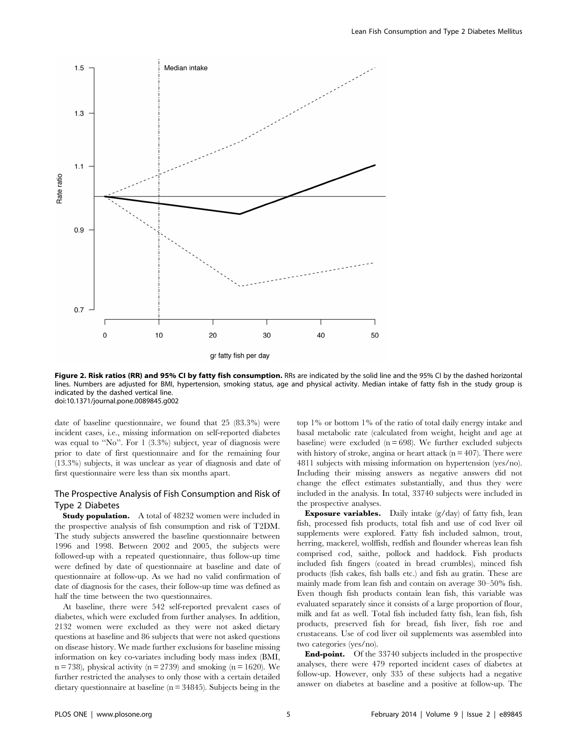

Figure 2. Risk ratios (RR) and 95% CI by fatty fish consumption. RRs are indicated by the solid line and the 95% CI by the dashed horizontal lines. Numbers are adjusted for BMI, hypertension, smoking status, age and physical activity. Median intake of fatty fish in the study group is indicated by the dashed vertical line. doi:10.1371/journal.pone.0089845.g002

date of baseline questionnaire, we found that 25 (83.3%) were incident cases, i.e., missing information on self-reported diabetes was equal to ''No''. For 1 (3.3%) subject, year of diagnosis were prior to date of first questionnaire and for the remaining four (13.3%) subjects, it was unclear as year of diagnosis and date of first questionnaire were less than six months apart.

## The Prospective Analysis of Fish Consumption and Risk of Type 2 Diabetes

**Study population.** A total of 48232 women were included in the prospective analysis of fish consumption and risk of T2DM. The study subjects answered the baseline questionnaire between 1996 and 1998. Between 2002 and 2005, the subjects were followed-up with a repeated questionnaire, thus follow-up time were defined by date of questionnaire at baseline and date of questionnaire at follow-up. As we had no valid confirmation of date of diagnosis for the cases, their follow-up time was defined as half the time between the two questionnaires.

At baseline, there were 542 self-reported prevalent cases of diabetes, which were excluded from further analyses. In addition, 2132 women were excluded as they were not asked dietary questions at baseline and 86 subjects that were not asked questions on disease history. We made further exclusions for baseline missing information on key co-variates including body mass index (BMI,  $n = 738$ ), physical activity ( $n = 2739$ ) and smoking ( $n = 1620$ ). We further restricted the analyses to only those with a certain detailed dietary questionnaire at baseline (n = 34845). Subjects being in the

top 1% or bottom 1% of the ratio of total daily energy intake and basal metabolic rate (calculated from weight, height and age at baseline) were excluded ( $n = 698$ ). We further excluded subjects with history of stroke, angina or heart attack ( $n = 407$ ). There were 4811 subjects with missing information on hypertension (yes/no). Including their missing answers as negative answers did not change the effect estimates substantially, and thus they were included in the analysis. In total, 33740 subjects were included in the prospective analyses.

Exposure variables. Daily intake (g/day) of fatty fish, lean fish, processed fish products, total fish and use of cod liver oil supplements were explored. Fatty fish included salmon, trout, herring, mackerel, wolffish, redfish and flounder whereas lean fish comprised cod, saithe, pollock and haddock. Fish products included fish fingers (coated in bread crumbles), minced fish products (fish cakes, fish balls etc.) and fish au gratin. These are mainly made from lean fish and contain on average 30–50% fish. Even though fish products contain lean fish, this variable was evaluated separately since it consists of a large proportion of flour, milk and fat as well. Total fish included fatty fish, lean fish, fish products, preserved fish for bread, fish liver, fish roe and crustaceans. Use of cod liver oil supplements was assembled into two categories (yes/no).

End-point. Of the 33740 subjects included in the prospective analyses, there were 479 reported incident cases of diabetes at follow-up. However, only 335 of these subjects had a negative answer on diabetes at baseline and a positive at follow-up. The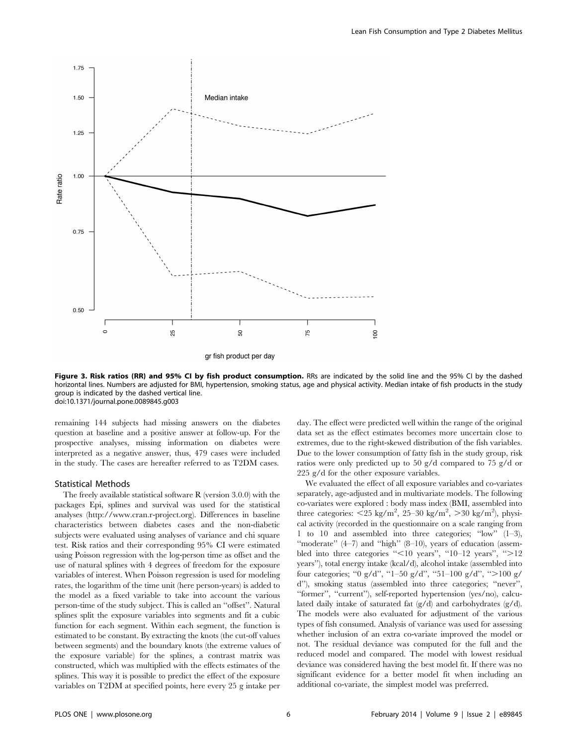

Figure 3. Risk ratios (RR) and 95% CI by fish product consumption. RRs are indicated by the solid line and the 95% CI by the dashed horizontal lines. Numbers are adjusted for BMI, hypertension, smoking status, age and physical activity. Median intake of fish products in the study group is indicated by the dashed vertical line. doi:10.1371/journal.pone.0089845.g003

remaining 144 subjects had missing answers on the diabetes question at baseline and a positive answer at follow-up. For the prospective analyses, missing information on diabetes were interpreted as a negative answer, thus, 479 cases were included in the study. The cases are hereafter referred to as T2DM cases.

#### Statistical Methods

The freely available statistical software R (version 3.0.0) with the packages Epi, splines and survival was used for the statistical analyses (http://www.cran.r-project.org). Differences in baseline characteristics between diabetes cases and the non-diabetic subjects were evaluated using analyses of variance and chi square test. Risk ratios and their corresponding 95% CI were estimated using Poisson regression with the log-person time as offset and the use of natural splines with 4 degrees of freedom for the exposure variables of interest. When Poisson regression is used for modeling rates, the logarithm of the time unit (here person-years) is added to the model as a fixed variable to take into account the various person-time of the study subject. This is called an ''offset''. Natural splines split the exposure variables into segments and fit a cubic function for each segment. Within each segment, the function is estimated to be constant. By extracting the knots (the cut-off values between segments) and the boundary knots (the extreme values of the exposure variable) for the splines, a contrast matrix was constructed, which was multiplied with the effects estimates of the splines. This way it is possible to predict the effect of the exposure variables on T2DM at specified points, here every 25 g intake per day. The effect were predicted well within the range of the original data set as the effect estimates becomes more uncertain close to extremes, due to the right-skewed distribution of the fish variables. Due to the lower consumption of fatty fish in the study group, risk ratios were only predicted up to 50 g/d compared to 75 g/d or 225 g/d for the other exposure variables.

We evaluated the effect of all exposure variables and co-variates separately, age-adjusted and in multivariate models. The following co-variates were explored : body mass index (BMI, assembled into three categories:  $\langle 25 \text{ kg/m}^2, 25\text{--}30 \text{ kg/m}^2, \rangle$  > 30 kg/m<sup>2</sup>), physical activity (recorded in the questionnaire on a scale ranging from 1 to 10 and assembled into three categories; ''low'' (1–3), ''moderate'' (4–7) and ''high'' (8–10), years of education (assembled into three categories " $\leq 10$  years", "10–12 years", " $>12$ years''), total energy intake (kcal/d), alcohol intake (assembled into four categories; "0 g/d", "1–50 g/d", "51–100 g/d", ">100 g/ d''), smoking status (assembled into three categories; ''never'', ''former'', ''current''), self-reported hypertension (yes/no), calculated daily intake of saturated fat (g/d) and carbohydrates (g/d). The models were also evaluated for adjustment of the various types of fish consumed. Analysis of variance was used for assessing whether inclusion of an extra co-variate improved the model or not. The residual deviance was computed for the full and the reduced model and compared. The model with lowest residual deviance was considered having the best model fit. If there was no significant evidence for a better model fit when including an additional co-variate, the simplest model was preferred.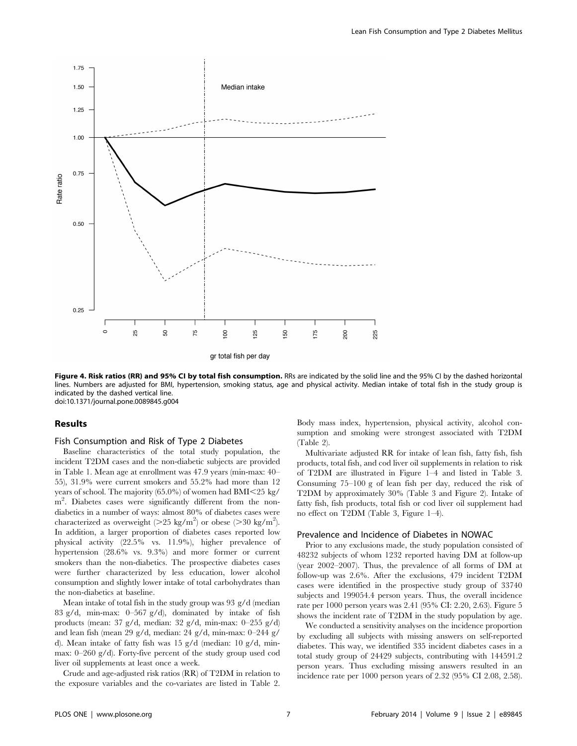

Figure 4. Risk ratios (RR) and 95% CI by total fish consumption. RRs are indicated by the solid line and the 95% CI by the dashed horizontal lines. Numbers are adjusted for BMI, hypertension, smoking status, age and physical activity. Median intake of total fish in the study group is indicated by the dashed vertical line. doi:10.1371/journal.pone.0089845.g004

## Results

## Fish Consumption and Risk of Type 2 Diabetes

Baseline characteristics of the total study population, the incident T2DM cases and the non-diabetic subjects are provided in Table 1. Mean age at enrollment was 47.9 years (min-max: 40– 55), 31.9% were current smokers and 55.2% had more than 12 years of school. The majority (65.0%) of women had  $BMI<25$  kg/ m<sup>2</sup>. Diabetes cases were significantly different from the nondiabetics in a number of ways: almost 80% of diabetes cases were characterized as overweight ( $>$ 25 kg/m<sup>2</sup>) or obese ( $>$ 30 kg/m<sup>2</sup>). In addition, a larger proportion of diabetes cases reported low physical activity (22.5% vs. 11.9%), higher prevalence of hypertension (28.6% vs. 9.3%) and more former or current smokers than the non-diabetics. The prospective diabetes cases were further characterized by less education, lower alcohol consumption and slightly lower intake of total carbohydrates than the non-diabetics at baseline.

Mean intake of total fish in the study group was 93 g/d (median 83 g/d, min-max: 0–567 g/d), dominated by intake of fish products (mean: 37 g/d, median: 32 g/d, min-max: 0–255 g/d) and lean fish (mean 29 g/d, median: 24 g/d, min-max: 0–244 g/ d). Mean intake of fatty fish was 15 g/d (median: 10 g/d, minmax: 0–260 g/d). Forty-five percent of the study group used cod liver oil supplements at least once a week.

Crude and age-adjusted risk ratios (RR) of T2DM in relation to the exposure variables and the co-variates are listed in Table 2. Body mass index, hypertension, physical activity, alcohol consumption and smoking were strongest associated with T2DM (Table 2).

Multivariate adjusted RR for intake of lean fish, fatty fish, fish products, total fish, and cod liver oil supplements in relation to risk of T2DM are illustrated in Figure 1–4 and listed in Table 3. Consuming 75–100 g of lean fish per day, reduced the risk of T2DM by approximately 30% (Table 3 and Figure 2). Intake of fatty fish, fish products, total fish or cod liver oil supplement had no effect on T2DM (Table 3, Figure 1–4).

#### Prevalence and Incidence of Diabetes in NOWAC

Prior to any exclusions made, the study population consisted of 48232 subjects of whom 1232 reported having DM at follow-up (year 2002–2007). Thus, the prevalence of all forms of DM at follow-up was 2.6%. After the exclusions, 479 incident T2DM cases were identified in the prospective study group of 33740 subjects and 199054.4 person years. Thus, the overall incidence rate per 1000 person years was 2.41 (95% CI: 2.20, 2.63). Figure 5 shows the incident rate of T2DM in the study population by age.

We conducted a sensitivity analyses on the incidence proportion by excluding all subjects with missing answers on self-reported diabetes. This way, we identified 335 incident diabetes cases in a total study group of 24429 subjects, contributing with 144591.2 person years. Thus excluding missing answers resulted in an incidence rate per 1000 person years of 2.32 (95% CI 2.08, 2.58).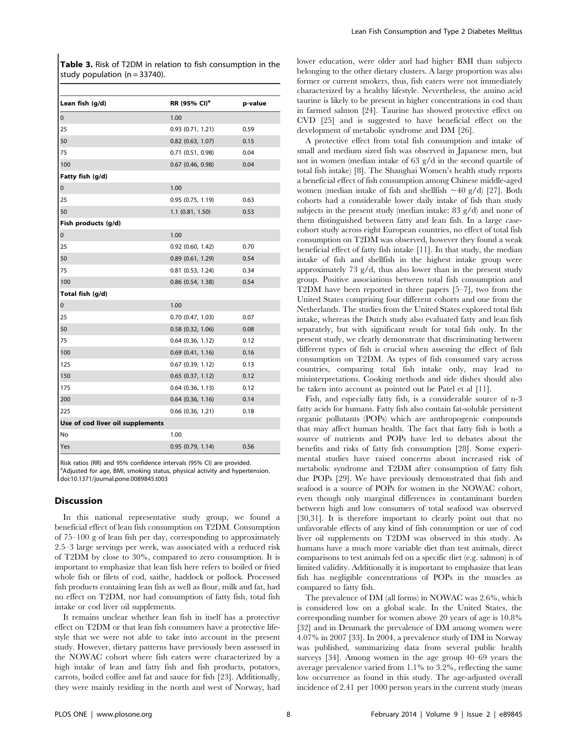Table 3. Risk of T2DM in relation to fish consumption in the study population  $(n = 33740)$ .

| RR (95% CI) <sup>a</sup> | p-value |
|--------------------------|---------|
| 1.00                     |         |
| 0.93(0.71, 1.21)         | 0.59    |
| $0.82$ (0.63, 1.07)      | 0.15    |
| $0.71$ (0.51, 0.98)      | 0.04    |
| $0.67$ (0.46, 0.98)      | 0.04    |
|                          |         |
| 1.00                     |         |
| 0.95(0.75, 1.19)         | 0.63    |
| $1.1$ (0.81, 1.50)       | 0.53    |
|                          |         |
| 1.00                     |         |
| $0.92$ $(0.60, 1.42)$    | 0.70    |
| $0.89$ $(0.61, 1.29)$    | 0.54    |
| $0.81$ $(0.53, 1.24)$    | 0.34    |
| 0.86 (0.54, 1.38)        | 0.54    |
|                          |         |
| 1.00                     |         |
| 0.70(0.47, 1.03)         | 0.07    |
| $0.58$ $(0.32, 1.06)$    | 0.08    |
| $0.64$ $(0.36, 1.12)$    | 0.12    |
| $0.69$ $(0.41, 1.16)$    | 0.16    |
| $0.67$ $(0.39, 1.12)$    | 0.13    |
| $0.65$ $(0.37, 1.12)$    | 0.12    |
| $0.64$ $(0.36, 1.13)$    | 0.12    |
| $0.64$ (0.36, 1.16)      | 0.14    |
| $0.66$ $(0.36, 1.21)$    | 0.18    |
|                          |         |
| 1.00                     |         |
| 0.95(0.79, 1.14)         | 0.56    |
|                          |         |

Risk ratios (RR) and 95% confidence intervals (95% CI) are provided. <sup>a</sup>Adjusted for age, BMI, smoking status, physical activity and hypertension. doi:10.1371/journal.pone.0089845.t003

#### Discussion

In this national representative study group, we found a beneficial effect of lean fish consumption on T2DM. Consumption of 75–100 g of lean fish per day, corresponding to approximately 2.5–3 large servings per week, was associated with a reduced risk of T2DM by close to 30%, compared to zero consumption. It is important to emphasize that lean fish here refers to boiled or fried whole fish or filets of cod, saithe, haddock or pollock. Processed fish products containing lean fish as well as flour, milk and fat, had no effect on T2DM, nor had consumption of fatty fish, total fish intake or cod liver oil supplements.

It remains unclear whether lean fish in itself has a protective effect on T2DM or that lean fish consumers have a protective lifestyle that we were not able to take into account in the present study. However, dietary patterns have previously been assessed in the NOWAC cohort where fish eaters were characterized by a high intake of lean and fatty fish and fish products, potatoes, carrots, boiled coffee and fat and sauce for fish [23]. Additionally, they were mainly residing in the north and west of Norway, had lower education, were older and had higher BMI than subjects belonging to the other dietary clusters. A large proportion was also former or current smokers, thus, fish eaters were not immediately characterized by a healthy lifestyle. Nevertheless, the amino acid taurine is likely to be present in higher concentrations in cod than in farmed salmon [24]. Taurine has showed protective effect on CVD [25] and is suggested to have beneficial effect on the development of metabolic syndrome and DM [26].

A protective effect from total fish consumption and intake of small and medium sized fish was observed in Japanese men, but not in women (median intake of 63 g/d in the second quartile of total fish intake) [8]. The Shanghai Women's health study reports a beneficial effect of fish consumption among Chinese middle-aged women (median intake of fish and shellfish  $\sim$ 40 g/d) [27]. Both cohorts had a considerable lower daily intake of fish than study subjects in the present study (median intake: 83 g/d) and none of them distinguished between fatty and lean fish. In a large casecohort study across eight European countries, no effect of total fish consumption on T2DM was observed, however they found a weak beneficial effect of fatty fish intake [11]. In that study, the median intake of fish and shellfish in the highest intake group were approximately 73 g/d, thus also lower than in the present study group. Positive associations between total fish consumption and T2DM have been reported in three papers [5–7], two from the United States comprising four different cohorts and one from the Netherlands. The studies from the United States explored total fish intake, whereas the Dutch study also evaluated fatty and lean fish separately, but with significant result for total fish only. In the present study, we clearly demonstrate that discriminating between different types of fish is crucial when assessing the effect of fish consumption on T2DM. As types of fish consumed vary across countries, comparing total fish intake only, may lead to misinterpretations. Cooking methods and side dishes should also be taken into account as pointed out be Patel et al [11].

Fish, and especially fatty fish, is a considerable source of n-3 fatty acids for humans. Fatty fish also contain fat-soluble persistent organic pollutants (POPs) which are anthropogenic compounds that may affect human health. The fact that fatty fish is both a source of nutrients and POPs have led to debates about the benefits and risks of fatty fish consumption [28]. Some experimental studies have raised concerns about increased risk of metabolic syndrome and T2DM after consumption of fatty fish due POPs [29]. We have previously demonstrated that fish and seafood is a source of POPs for women in the NOWAC cohort, even though only marginal differences in contaminant burden between high and low consumers of total seafood was observed [30,31]. It is therefore important to clearly point out that no unfavorable effects of any kind of fish consumption or use of cod liver oil supplements on T2DM was observed in this study. As humans have a much more variable diet than test animals, direct comparisons to test animals fed on a specific diet (e.g. salmon) is of limited validity. Additionally it is important to emphasize that lean fish has negligible concentrations of POPs in the muscles as compared to fatty fish.

The prevalence of DM (all forms) in NOWAC was 2.6%, which is considered low on a global scale. In the United States, the corresponding number for women above 20 years of age is 10.8% [32] and in Denmark the prevalence of DM among women were 4.07% in 2007 [33]. In 2004, a prevalence study of DM in Norway was published, summarizing data from several public health surveys [34]. Among women in the age group 40–69 years the average prevalence varied from 1.1% to 3.2%, reflecting the same low occurrence as found in this study. The age-adjusted overall incidence of 2.41 per 1000 person years in the current study (mean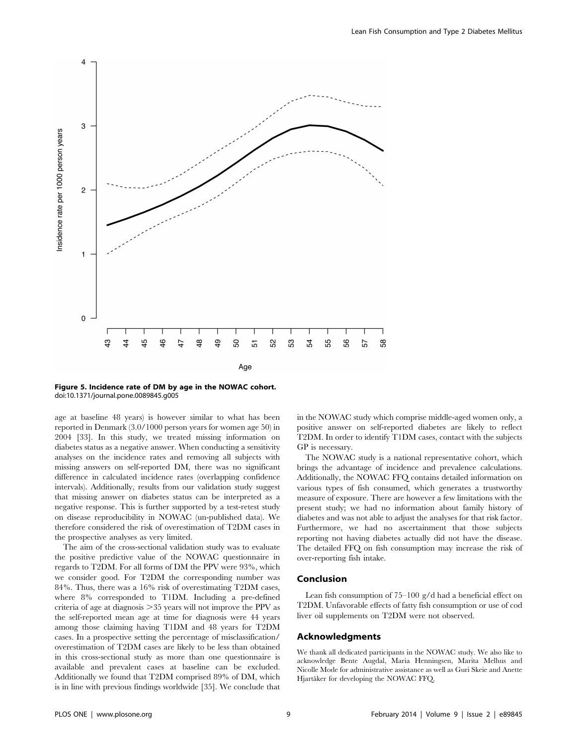

Figure 5. Incidence rate of DM by age in the NOWAC cohort. doi:10.1371/journal.pone.0089845.g005

age at baseline 48 years) is however similar to what has been reported in Denmark (3.0/1000 person years for women age 50) in 2004 [33]. In this study, we treated missing information on diabetes status as a negative answer. When conducting a sensitivity analyses on the incidence rates and removing all subjects with missing answers on self-reported DM, there was no significant difference in calculated incidence rates (overlapping confidence intervals). Additionally, results from our validation study suggest that missing answer on diabetes status can be interpreted as a negative response. This is further supported by a test-retest study on disease reproducibility in NOWAC (un-published data). We therefore considered the risk of overestimation of T2DM cases in the prospective analyses as very limited.

The aim of the cross-sectional validation study was to evaluate the positive predictive value of the NOWAC questionnaire in regards to T2DM. For all forms of DM the PPV were 93%, which we consider good. For T2DM the corresponding number was 84%. Thus, there was a 16% risk of overestimating T2DM cases, where 8% corresponded to T1DM. Including a pre-defined criteria of age at diagnosis  $>35$  years will not improve the PPV as the self-reported mean age at time for diagnosis were 44 years among those claiming having T1DM and 48 years for T2DM cases. In a prospective setting the percentage of misclassification/ overestimation of T2DM cases are likely to be less than obtained in this cross-sectional study as more than one questionnaire is available and prevalent cases at baseline can be excluded. Additionally we found that T2DM comprised 89% of DM, which is in line with previous findings worldwide [35]. We conclude that in the NOWAC study which comprise middle-aged women only, a positive answer on self-reported diabetes are likely to reflect T2DM. In order to identify T1DM cases, contact with the subjects GP is necessary.

The NOWAC study is a national representative cohort, which brings the advantage of incidence and prevalence calculations. Additionally, the NOWAC FFQ contains detailed information on various types of fish consumed, which generates a trustworthy measure of exposure. There are however a few limitations with the present study; we had no information about family history of diabetes and was not able to adjust the analyses for that risk factor. Furthermore, we had no ascertainment that those subjects reporting not having diabetes actually did not have the disease. The detailed FFQ on fish consumption may increase the risk of over-reporting fish intake.

#### Conclusion

Lean fish consumption of 75–100 g/d had a beneficial effect on T2DM. Unfavorable effects of fatty fish consumption or use of cod liver oil supplements on T2DM were not observed.

## Acknowledgments

We thank all dedicated participants in the NOWAC study. We also like to acknowledge Bente Augdal, Maria Henningsen, Marita Melhus and Nicolle Mode for administrative assistance as well as Guri Skeie and Anette Hjartåker for developing the NOWAC FFQ.